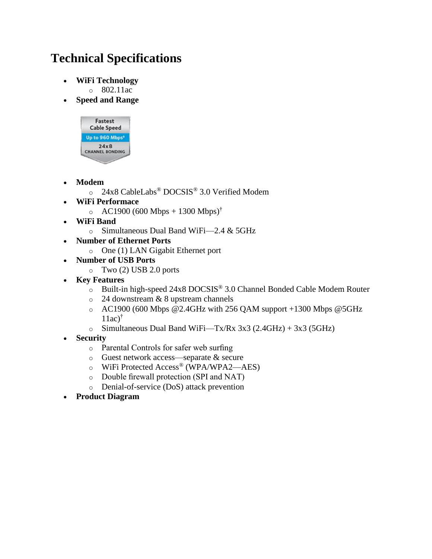## **Technical Specifications**

**WiFi Technology**

o 802.11ac

**Speed and Range**



- **Modem**
	- o 24x8 CableLabs® DOCSIS® 3.0 Verified Modem
- **WiFi Performace**
	- o AC1900 (600 Mbps + 1300 Mbps)<sup>†</sup>
- **WiFi Band**
	- o Simultaneous Dual Band WiFi—2.4 & 5GHz
- **Number of Ethernet Ports**
	- o One (1) LAN Gigabit Ethernet port
- **Number of USB Ports**
	- o Two (2) USB 2.0 ports
- **Key Features**
	- o Built-in high-speed 24x8 DOCSIS® 3.0 Channel Bonded Cable Modem Router
	- o 24 downstream & 8 upstream channels
	- o AC1900 (600 Mbps @2.4GHz with 256 QAM support +1300 Mbps @5GHz  $11ac)$ <sup>†</sup>
	- o Simultaneous Dual Band WiFi—Tx/Rx  $3x3 (2.4GHz) + 3x3 (5GHz)$
- **Security**
	- o Parental Controls for safer web surfing
	- o Guest network access—separate & secure
	- o WiFi Protected Access® (WPA/WPA2—AES)
	- o Double firewall protection (SPI and NAT)
	- o Denial-of-service (DoS) attack prevention
- **Product Diagram**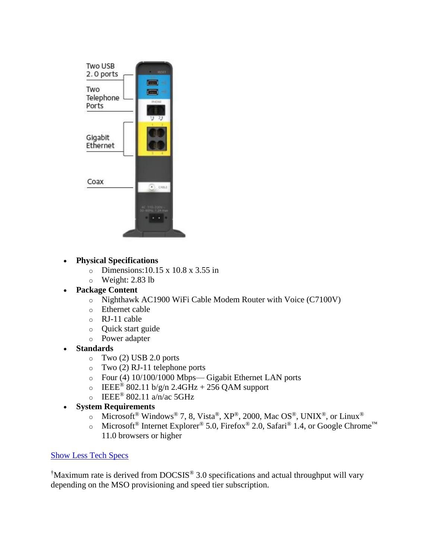

- **Physical Specifications**
	- o Dimensions:10.15 x 10.8 x 3.55 in
	- o Weight: 2.83 lb
- **Package Content**
	- o Nighthawk AC1900 WiFi Cable Modem Router with Voice (C7100V)
	- o Ethernet cable
	- o RJ-11 cable
	- o Quick start guide
	- o Power adapter
- **Standards**
	- $\circ$  Two (2) USB 2.0 ports
	- o Two (2) RJ-11 telephone ports
	- o Four (4) 10/100/1000 Mbps— Gigabit Ethernet LAN ports
	- $\circ$  IEEE<sup>®</sup> 802.11 b/g/n 2.4GHz + 256 QAM support
	- $\circ$  IEEE® 802.11 a/n/ac 5GHz
- **System Requirements**
	- o Microsoft<sup>®</sup> Windows<sup>®</sup> 7, 8, Vista®, XP®, 2000, Mac OS®, UNIX®, or Linux<sup>®</sup>
	- o Microsoft<sup>®</sup> Internet Explorer<sup>®</sup> 5.0, Firefox<sup>®</sup> 2.0, Safari<sup>®</sup> 1.4, or Google Chrome<sup>™</sup> 11.0 browsers or higher

## [Show Less Tech Specs](https://www.netgear.com/home/products/networking/cable-modems-routers/C7100V.aspx)

†Maximum rate is derived from DOCSIS® 3.0 specifications and actual throughput will vary depending on the MSO provisioning and speed tier subscription.